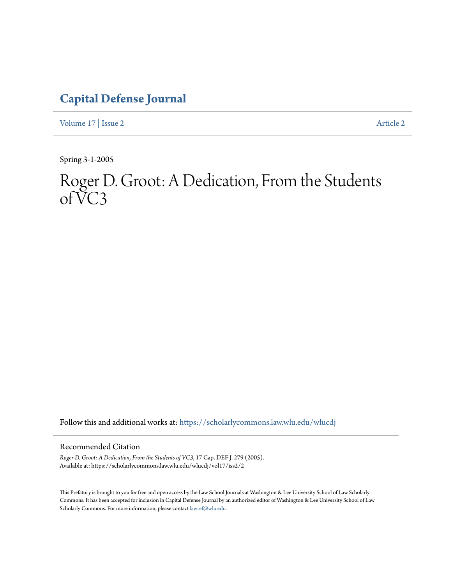## **[Capital Defense Journal](https://scholarlycommons.law.wlu.edu/wlucdj?utm_source=scholarlycommons.law.wlu.edu%2Fwlucdj%2Fvol17%2Fiss2%2F2&utm_medium=PDF&utm_campaign=PDFCoverPages)**

[Volume 17](https://scholarlycommons.law.wlu.edu/wlucdj/vol17?utm_source=scholarlycommons.law.wlu.edu%2Fwlucdj%2Fvol17%2Fiss2%2F2&utm_medium=PDF&utm_campaign=PDFCoverPages) | [Issue 2](https://scholarlycommons.law.wlu.edu/wlucdj/vol17/iss2?utm_source=scholarlycommons.law.wlu.edu%2Fwlucdj%2Fvol17%2Fiss2%2F2&utm_medium=PDF&utm_campaign=PDFCoverPages) [Article 2](https://scholarlycommons.law.wlu.edu/wlucdj/vol17/iss2/2?utm_source=scholarlycommons.law.wlu.edu%2Fwlucdj%2Fvol17%2Fiss2%2F2&utm_medium=PDF&utm_campaign=PDFCoverPages)

Spring 3-1-2005

## Roger D. Groot: A Dedication, From the Students  $of \check{V}C3$

Follow this and additional works at: [https://scholarlycommons.law.wlu.edu/wlucdj](https://scholarlycommons.law.wlu.edu/wlucdj?utm_source=scholarlycommons.law.wlu.edu%2Fwlucdj%2Fvol17%2Fiss2%2F2&utm_medium=PDF&utm_campaign=PDFCoverPages)

## Recommended Citation

*Roger D. Groot: A Dedication, From the Students of VC3*, 17 Cap. DEF J. 279 (2005). Available at: https://scholarlycommons.law.wlu.edu/wlucdj/vol17/iss2/2

This Prefatory is brought to you for free and open access by the Law School Journals at Washington & Lee University School of Law Scholarly Commons. It has been accepted for inclusion in Capital Defense Journal by an authorized editor of Washington & Lee University School of Law Scholarly Commons. For more information, please contact [lawref@wlu.edu.](mailto:lawref@wlu.edu)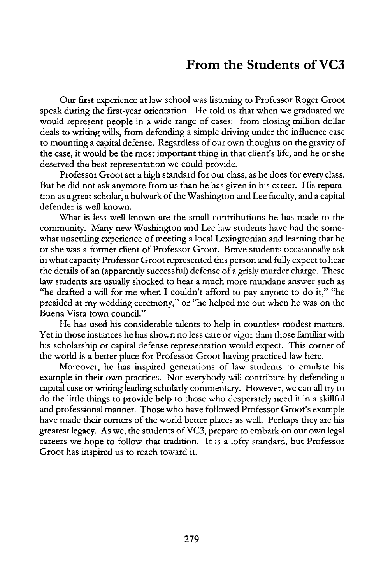## **From the Students of VC3**

Our first experience at law school was listening to Professor Roger Groot speak during the first-year orientation. He told us that when we graduated we would represent people in a wide range of cases: from closing million dollar deals to writing wills, from defending a simple driving under the influence case to mounting a capital defense. Regardless of our own thoughts on the gravity of the case, it would be the most important thing in that client's life, and he or she deserved the best representation we could provide.

Professor Groot set a high standard for our class, as he does for every class. But he did not ask anymore from us than he has given in his career. His reputation as a great scholar, a bulwark of the Washington and Lee faculty, and a capital defender is well known.

What is less well known are the small contributions he has made to the community. Many new Washington and Lee law students have had the somewhat unsettling experience of meeting a local Lexingtonian and learning that he or she was a former client of Professor Groot. Brave students occasionally ask in what capacity Professor Groot represented this person and fully expect to hear the details of an (apparently successful) defense of a grisly murder charge. These law students are usually shocked to hear a much more mundane answer such as "he drafted a will for me when I couldn't afford to pay anyone to do it," "he presided at my wedding ceremony," or "he helped me out when he was on the Buena Vista town council."

He has used his considerable talents to help in countless modest matters. Yet in those instances he has shown no less care or vigor than those familiar with his scholarship or capital defense representation would expect. This corner of the world is a better place for Professor Groot having practiced law here.

Moreover, he has inspired generations of law students to emulate his example in their own practices. Not everybody will contribute by defending a capital case or writing leading scholarly commentary. However, we can all try to do the little things to provide help to those who desperately need it in a skillful and professional manner. Those who have followed Professor Groot's example have made their corners of the world better places as well. Perhaps they are his greatest legacy. As we, the students of VC3, prepare to embark on our own legal careers we hope to follow that tradition. It is a lofty standard, but Professor Groot has inspired us to reach toward it.